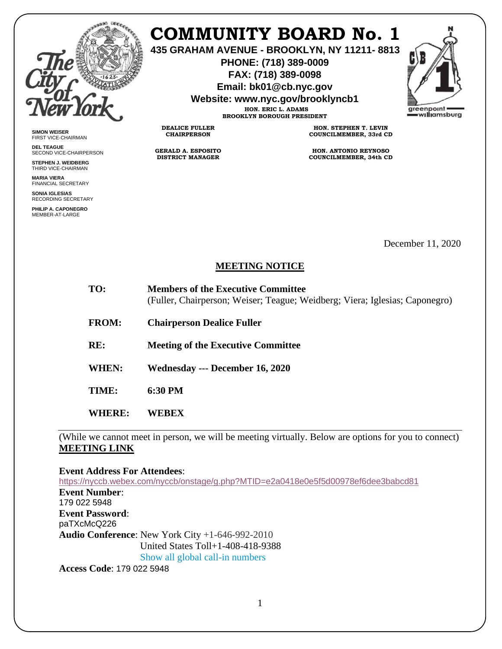

**SIMON WEISER** FIRST VICE-CHAIRMAN **DEL TEAGUE**

SECOND VICE-CHAIRPERSON **STEPHEN J. WEIDBERG** THIRD VICE-CHAIRMAN **MARIA VIERA** FINANCIAL SECRETARY **SONIA IGLESIAS** RECORDING SECRETARY **PHILIP A. CAPONEGRO** MEMBER-AT-LARGE

## **COMMUNITY BOARD No. 1**

**435 GRAHAM AVENUE - BROOKLYN, NY 11211- 8813**

**PHONE: (718) 389-0009 FAX: (718) 389-0098**

**Email: bk01@cb.nyc.gov**

**Website: www.nyc.gov/brooklyncb1**

**HON. ERIC L. ADAMS BROOKLYN BOROUGH PRESIDENT**

**DEALICE FULLER CHAIRPERSON**

**GERALD A. ESPOSITO DISTRICT MANAGER**

**HON. STEPHEN T. LEVIN COUNCILMEMBER, 33rd CD**

**HON. ANTONIO REYNOSO COUNCILMEMBER, 34th CD**

December 11, 2020

## **MEETING NOTICE**

| TO: | <b>Members of the Executive Committee</b>                                   |
|-----|-----------------------------------------------------------------------------|
|     | (Fuller, Chairperson; Weiser; Teague; Weidberg; Viera; Iglesias; Caponegro) |

**FROM: Chairperson Dealice Fuller** 

**RE: Meeting of the Executive Committee**

**WHEN: Wednesday --- December 16, 2020**

**TIME: 6:30 PM**

**WHERE: WEBEX** 

(While we cannot meet in person, we will be meeting virtually. Below are options for you to connect) **MEETING LINK** 

**Event Address For Attendees**:

<https://nyccb.webex.com/nyccb/onstage/g.php?MTID=e2a0418e0e5f5d00978ef6dee3babcd81> **Event Number**: 179 022 5948 **Event Password**: paTXcMcQ226 **Audio Conference**: New York City +1-646-992-2010 United States Toll+1-408-418-9388 Show all global call-in numbers

**Access Code**: 179 022 5948